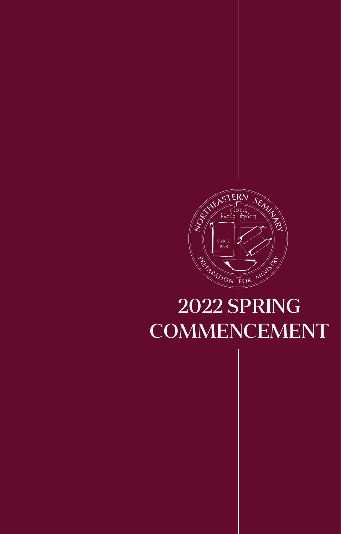

# 2022 SPRING **COMMENCEMENT**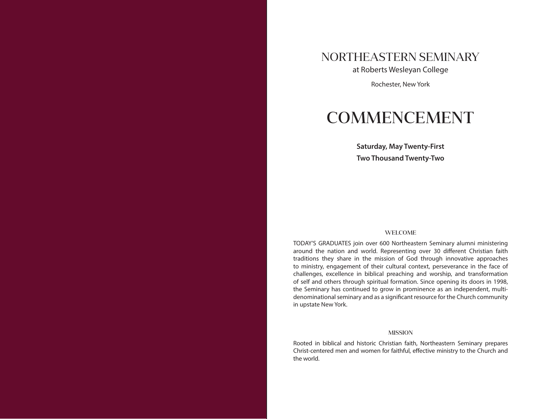### NORTHEASTERN SEMINARY

at Roberts Wesleyan College

Rochester, New York

## COMMENCEMENT

**Saturday, May Twenty-First Two Thousand Twenty-Two**

#### WELCOME

TODAY'S GRADUATES join over 600 Northeastern Seminary alumni ministering around the nation and world. Representing over 30 different Christian faith traditions they share in the mission of God through innovative approaches to ministry, engagement of their cultural context, perseverance in the face of challenges, excellence in biblical preaching and worship, and transformation of self and others through spiritual formation. Since opening its doors in 1998, the Seminary has continued to grow in prominence as an independent, multidenominational seminary and as a significant resource for the Church community in upstate New York.

#### **MISSION**

Rooted in biblical and historic Christian faith, Northeastern Seminary prepares Christ-centered men and women for faithful, effective ministry to the Church and the world.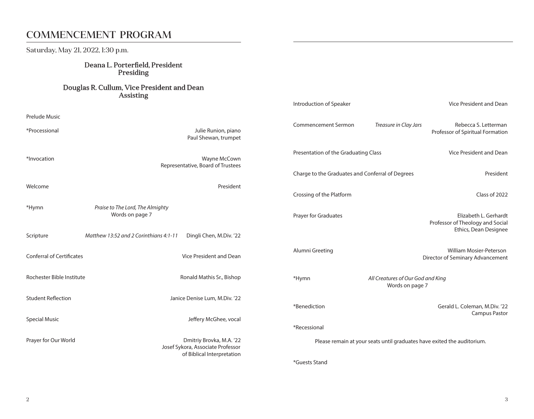### COMMENCEMENT PROGRAM

Saturday, May 21, 2022, 1:30 p.m.

#### Deana L. Porterfield, President Presiding

#### Douglas R. Cullum, Vice President and Dean **Assisting**

| Prelude Music                    |                                                                                             |                          |
|----------------------------------|---------------------------------------------------------------------------------------------|--------------------------|
| *Processional                    | Julie Runion, piano<br>Paul Shewan, trumpet                                                 | Commencement Sermo       |
| *Invocation                      | Wayne McCown<br>Representative, Board of Trustees                                           | Presentation of the Gra  |
|                                  |                                                                                             | Charge to the Graduate   |
| Welcome                          | President                                                                                   | Crossing of the Platforn |
| *Hymn                            | Praise to The Lord, The Almighty<br>Words on page 7                                         | Prayer for Graduates     |
| Scripture                        | Matthew 13:52 and 2 Corinthians 4:1-11<br>Dingli Chen, M.Div. '22                           |                          |
| <b>Conferral of Certificates</b> | Vice President and Dean                                                                     | Alumni Greeting          |
| Rochester Bible Institute        | Ronald Mathis Sr., Bishop                                                                   | *Hymn                    |
| <b>Student Reflection</b>        | Janice Denise Lum, M.Div. '22                                                               | *Benediction             |
| <b>Special Music</b>             | Jeffery McGhee, vocal                                                                       | *Recessional             |
| Prayer for Our World             | Dmitriy Brovka, M.A. '22<br>Josef Sykora, Associate Professor<br>of Biblical Interpretation | Please remain            |
|                                  |                                                                                             |                          |

| Introduction of Speaker                                                 |                                                      | Vice President and Dean                                                            |
|-------------------------------------------------------------------------|------------------------------------------------------|------------------------------------------------------------------------------------|
| Commencement Sermon                                                     | Treasure in Clay Jars                                | Rebecca S. Letterman<br>Professor of Spiritual Formation                           |
| Presentation of the Graduating Class                                    |                                                      | Vice President and Dean                                                            |
| Charge to the Graduates and Conferral of Degrees                        |                                                      | President                                                                          |
| Crossing of the Platform                                                |                                                      | Class of 2022                                                                      |
| Prayer for Graduates                                                    |                                                      | Elizabeth L. Gerhardt<br>Professor of Theology and Social<br>Ethics, Dean Designee |
| Alumni Greeting                                                         |                                                      | <b>William Mosier-Peterson</b><br>Director of Seminary Advancement                 |
| *Hymn                                                                   | All Creatures of Our God and King<br>Words on page 7 |                                                                                    |
| *Benediction                                                            |                                                      | Gerald L. Coleman, M.Div. '22<br><b>Campus Pastor</b>                              |
| *Recessional                                                            |                                                      |                                                                                    |
| Please remain at your seats until graduates have exited the auditorium. |                                                      |                                                                                    |
| *Guests Stand                                                           |                                                      |                                                                                    |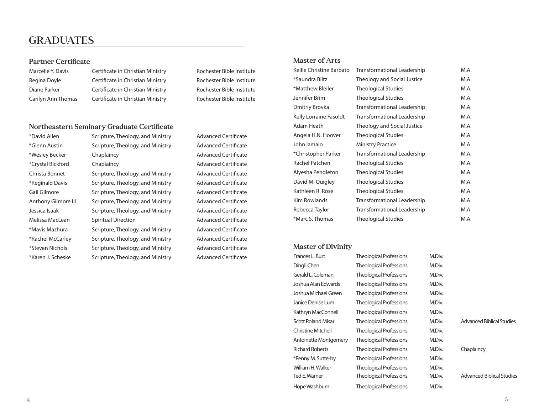### GRADUATES

#### Partner Certificate

| Marcelle Y. Davis  |
|--------------------|
| Regina Doyle       |
| Diane Parker       |
| Carilyn Ann Thomas |

Certificate in Christian Ministry **Rochester Bible Institute** Certificate in Christian Ministry Rochester Bible Institute Certificate in Christian Ministry Rochester Bible Institute Certificate in Christian Ministry **Rochester Bible Institute** 

#### Northeastern Seminary Graduate Certificate

| *David Allen        | Scripture, Theology, and Ministry |
|---------------------|-----------------------------------|
| *Glenn Austin       | Scripture, Theology, and Ministry |
| *Wesley Becker      | Chaplaincy                        |
| *Crystal Bickford   | Chaplaincy                        |
| Christa Bonnet      | Scripture, Theology, and Ministry |
| *Reginald Davis     | Scripture, Theology, and Ministry |
| Gail Gilmore        | Scripture, Theology, and Ministry |
| Anthony Gilmore III | Scripture, Theology, and Ministry |
| Jessica Isaak       | Scripture, Theology, and Ministry |
| Melissa MacLean     | <b>Spiritual Direction</b>        |
| *Mavis Mazhura      | Scripture, Theology, and Ministry |
| *Rachel McCarley    | Scripture, Theology, and Ministry |
| *Steven Nichols     | Scripture, Theology, and Ministry |
| *Karen J. Scheske   | Scripture, Theology, and Ministry |

Advanced Certificate Advanced Certificate Advanced Certificate Advanced Certificate Advanced Certificate Advanced Certificate Advanced Certificate Advanced Certificate Advanced Certificate Advanced Certificate Advanced Certificate Advanced Certificate Advanced Certificate Advanced Certificate

#### Master of Arts

| Kellie Christine Barbato | Transformational Leadership        | M.A. |
|--------------------------|------------------------------------|------|
| *Saundra Biltz           | Theology and Social Justice        | M.A. |
| *Matthew Bleiler         | <b>Theological Studies</b>         | M.A. |
| Jennifer Brim            | <b>Theological Studies</b>         | M.A. |
| Dmitriy Brovka           | <b>Transformational Leadership</b> | M.A. |
| Kelly Lorraine Fasoldt   | Transformational Leadership        | M.A. |
| Adam Heath               | Theology and Social Justice        | M.A. |
| Angela H.N. Hoover       | <b>Theological Studies</b>         | M.A. |
| John Iamaio              | <b>Ministry Practice</b>           | M.A. |
| *Christopher Parker      | Transformational Leadership        | M.A. |
| Rachel Patchen           | <b>Theological Studies</b>         | M.A. |
| Aiyesha Pendleton        | <b>Theological Studies</b>         | M.A. |
| David M. Quigley         | <b>Theological Studies</b>         | M.A. |
| Kathleen R. Rose         | <b>Theological Studies</b>         | M.A. |
| Kim Rowlands             | Transformational Leadership        | M.A. |
| Rebecca Taylor           | <b>Transformational Leadership</b> | M.A. |
| *Marc S. Thomas          | <b>Theological Studies</b>         | M.A. |

#### Master of Divinity

| Frances L. Burt           | <b>Theological Professions</b> | M.Div. |
|---------------------------|--------------------------------|--------|
| Dingli Chen               | <b>Theological Professions</b> | M.Div. |
| Gerald L. Coleman         | <b>Theological Professions</b> | M.Div. |
| Joshua Alan Edwards       | <b>Theological Professions</b> | M.Div. |
| Joshua Michael Green      | <b>Theological Professions</b> | M.Div. |
| Janice Denise Lum         | <b>Theological Professions</b> | M.Div. |
| Kathryn MacConnell        | <b>Theological Professions</b> | M.Div. |
| <b>Scott Roland Misar</b> | <b>Theological Professions</b> | M.Div. |
| <b>Christine Mitchell</b> | <b>Theological Professions</b> | M.Div. |
| Antoinette Montgomery     | <b>Theological Professions</b> | M.Div. |
| <b>Richard Roberts</b>    | <b>Theological Professions</b> | M.Div. |
| *Penny M. Sutterby        | <b>Theological Professions</b> | M.Div. |
| William H. Walker         | <b>Theological Professions</b> | M.Div. |
| Ted E. Warner             | <b>Theological Professions</b> | M.Div. |
| Hope Washburn             | <b>Theological Professions</b> | M.Div. |

| .                      |                                |        |                                  |
|------------------------|--------------------------------|--------|----------------------------------|
| Dingli Chen            | <b>Theological Professions</b> | M.Div. |                                  |
| Gerald L. Coleman      | <b>Theological Professions</b> | M.Div. |                                  |
| Joshua Alan Edwards    | Theological Professions        | M.Div. |                                  |
| Joshua Michael Green   | Theological Professions        | M.Div. |                                  |
| Janice Denise Lum      | Theological Professions        | M.Div. |                                  |
| Kathryn MacConnell     | Theological Professions        | M.Div. |                                  |
| Scott Roland Misar     | Theological Professions        | M.Div. | Advanced Biblical Studies        |
| Christine Mitchell     | Theological Professions        | M.Div. |                                  |
| Antoinette Montgomery  | Theological Professions        | M.Div. |                                  |
| <b>Richard Roberts</b> | Theological Professions        | M.Div. | Chaplaincy                       |
| *Penny M. Sutterby     | Theological Professions        | M.Div. |                                  |
| William H. Walker      | <b>Theological Professions</b> | M.Div. |                                  |
| Ted E. Warner          | Theological Professions        | M.Div. | <b>Advanced Biblical Studies</b> |
| Hope Washburn          | <b>Theological Professions</b> | M.Div. |                                  |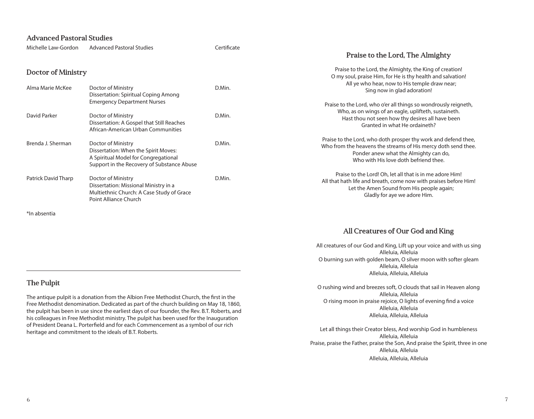#### Advanced Pastoral Studies

| Michelle Law-Gordon                                                                   | <b>Advanced Pastoral Studies</b>                                                                                                                 | Certificate | Praise to the Lord, The Almighty                                                                                                                                                                                  |
|---------------------------------------------------------------------------------------|--------------------------------------------------------------------------------------------------------------------------------------------------|-------------|-------------------------------------------------------------------------------------------------------------------------------------------------------------------------------------------------------------------|
| <b>Doctor of Ministry</b>                                                             |                                                                                                                                                  |             | Praise to the Lord, the Almighty, the King of creation!<br>O my soul, praise Him, for He is thy health and salvation!                                                                                             |
| Alma Marie McKee<br>Doctor of Ministry<br><b>Dissertation: Spiritual Coping Among</b> |                                                                                                                                                  | D.Min.      | All ye who hear, now to His temple draw near;<br>Sing now in glad adoration!                                                                                                                                      |
| David Parker                                                                          | <b>Emergency Department Nurses</b><br>Doctor of Ministry<br>Dissertation: A Gospel that Still Reaches<br>African-American Urban Communities      | D.Min.      | Praise to the Lord, who o'er all things so wondrously reigneth,<br>Who, as on wings of an eagle, uplifteth, sustaineth.<br>Hast thou not seen how thy desires all have been<br>Granted in what He ordaineth?      |
| Brenda J. Sherman                                                                     | Doctor of Ministry<br>Dissertation: When the Spirit Moves:<br>A Spiritual Model for Congregational<br>Support in the Recovery of Substance Abuse | D.Min.      | Praise to the Lord, who doth prosper thy work and defend thee,<br>Who from the heavens the streams of His mercy doth send thee.<br>Ponder anew what the Almighty can do,<br>Who with His love doth befriend thee. |
| <b>Patrick David Tharp</b>                                                            | Doctor of Ministry<br>Dissertation: Missional Ministry in a<br>Multiethnic Church: A Case Study of Grace<br>Point Alliance Church                | D.Min.      | Praise to the Lord! Oh, let all that is in me adore Him!<br>All that hath life and breath, come now with praises before Him!<br>Let the Amen Sound from His people again;<br>Gladly for aye we adore Him.         |
| *In absentia                                                                          |                                                                                                                                                  |             |                                                                                                                                                                                                                   |

All Creatures of Our God and King

All creatures of our God and King, Lift up your voice and with us sing Alleluia, Alleluia O burning sun with golden beam, O silver moon with softer gleam Alleluia, Alleluia Alleluia, Alleluia, Alleluia

O rushing wind and breezes soft, O clouds that sail in Heaven along Alleluia, Alleluia O rising moon in praise rejoice, O lights of evening find a voice Alleluia, Alleluia Alleluia, Alleluia, Alleluia

Let all things their Creator bless, And worship God in humbleness Alleluia, Alleluia Praise, praise the Father, praise the Son, And praise the Spirit, three in one Alleluia, Alleluia Alleluia, Alleluia, Alleluia

#### The Pulpit

The antique pulpit is a donation from the Albion Free Methodist Church, the first in the Free Methodist denomination. Dedicated as part of the church building on May 18, 1860, the pulpit has been in use since the earliest days of our founder, the Rev. B.T. Roberts, and his colleagues in Free Methodist ministry. The pulpit has been used for the Inauguration of President Deana L. Porterfield and for each Commencement as a symbol of our rich heritage and commitment to the ideals of B.T. Roberts.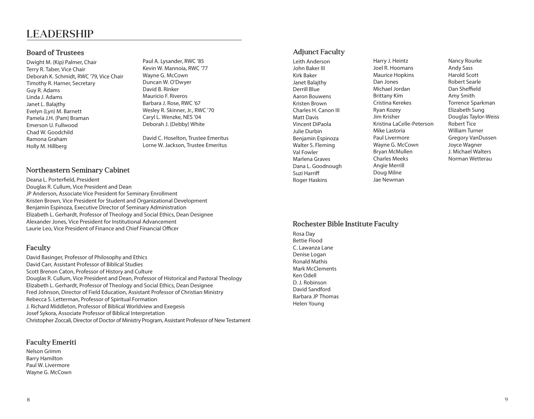### LEADERSHIP

#### Board of Trustees

Dwight M. (Kip) Palmer, Chair Terry R. Taber, Vice Chair Deborah K. Schmidt, RWC '79, Vice Chair Timothy R. Harner, Secretary Guy R. Adams Linda J. Adams Janet L. Balajthy Evelyn (Lyn) M. Barnett Pamela J.H. (Pam) Braman Emerson U. Fullwood Chad W. Goodchild Ramona Graham Holly M. Hillberg

Paul A. Lysander, RWC '85 Kevin W. Mannoia, RWC '77 Wayne G. McCown Duncan W. O'Dwyer David B. Rinker Mauricio F. Riveros Barbara J. Rose, RWC '67 Wesley R. Skinner, Jr., RWC '70 Caryl L. Wenzke, NES '04 Deborah J. (Debby) White

David C. Hoselton, Trustee Emeritus Lorne W. Jackson, Trustee Emeritus

#### Northeastern Seminary Cabinet

Deana L. Porterfield, President Douglas R. Cullum, Vice President and Dean JP Anderson, Associate Vice President for Seminary Enrollment Kristen Brown, Vice President for Student and Organizational Development Benjamin Espinoza, Executive Director of Seminary Administration Elizabeth L. Gerhardt, Professor of Theology and Social Ethics, Dean Designee Alexander Jones, Vice President for Institutional Advancement Laurie Leo, Vice President of Finance and Chief Financial Officer

#### Faculty

David Basinger, Professor of Philosophy and Ethics David Carr, Assistant Professor of Biblical Studies Scott Brenon Caton, Professor of History and Culture Douglas R. Cullum, Vice President and Dean, Professor of Historical and Pastoral Theology Elizabeth L. Gerhardt, Professor of Theology and Social Ethics, Dean Designee Fred Johnson, Director of Field Education, Assistant Professor of Christian Ministry Rebecca S. Letterman, Professor of Spiritual Formation J. Richard Middleton, Professor of Biblical Worldview and Exegesis Josef Sykora, Associate Professor of Biblical Interpretation Christopher Zoccali, Director of Doctor of Ministry Program, Assistant Professor of New Testament

#### Faculty Emeriti

Nelson Grimm Barry Hamilton Paul W. Livermore Wayne G. McCown

#### Adjunct Faculty

Leith Anderson John Baker III Kirk Baker Janet Balajthy Derrill Blue Aaron Bouwens Kristen Brown Charles H. Canon III Matt Davis Vincent DiPaola Julie Durbin Benjamin Espinoza Walter S. Fleming Val Fowler Marlena Graves Dana L. Goodnough Suzi Harriff Roger Haskins

Harry J. Heintz Joel R. Hoomans Maurice Hopkins Dan Jones Michael Jordan Brittany Kim Cristina Kerekes Ryan Kozey Jim Krisher Kristina LaCelle-Peterson Mike Lastoria Paul Livermore Wayne G. McCown Bryan McMullen Charles Meeks Angie Merrill Doug Milne Jae Newman

Nancy Rourke Andy Sass Harold Scott Robert Searle Dan Sheffield Amy Smith Torrence Sparkman Elizabeth Sung Douglas Taylor-Weiss Robert Tice William Turner Gregory VanDussen Joyce Wagner J. Michael Walters Norman Wetterau

#### Rochester Bible Institute Faculty

Rosa Day Bettie Flood C. Lawanza Lane Denise Logan Ronald Mathis Mark McClements Ken Odell D. J. Robinson David Sandford Barbara JP Thomas Helen Young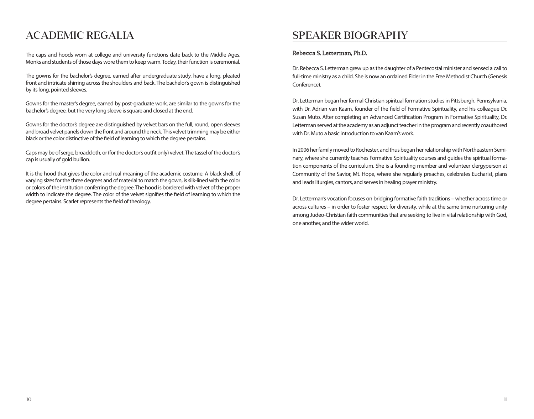### ACADEMIC REGALIA

The caps and hoods worn at college and university functions date back to the Middle Ages. Monks and students of those days wore them to keep warm. Today, their function is ceremonial.

The gowns for the bachelor's degree, earned after undergraduate study, have a long, pleated front and intricate shirring across the shoulders and back. The bachelor's gown is distinguished by its long, pointed sleeves.

Gowns for the master's degree, earned by post-graduate work, are similar to the gowns for the bachelor's degree, but the very long sleeve is square and closed at the end.

Gowns for the doctor's degree are distinguished by velvet bars on the full, round, open sleeves and broad velvet panels down the front and around the neck. This velvet trimming may be either black or the color distinctive of the field of learning to which the degree pertains.

Caps may be of serge, broadcloth, or (for the doctor's outfit only) velvet. The tassel of the doctor's cap is usually of gold bullion.

It is the hood that gives the color and real meaning of the academic costume. A black shell, of varying sizes for the three degrees and of material to match the gown, is silk-lined with the color or colors of the institution conferring the degree. The hood is bordered with velvet of the proper width to indicate the degree. The color of the velvet signifies the field of learning to which the degree pertains. Scarlet represents the field of theology.

### SPEAKER BIOGRAPHY

#### Rebecca S. Letterman, Ph.D.

Dr. Rebecca S. Letterman grew up as the daughter of a Pentecostal minister and sensed a call to full-time ministry as a child. She is now an ordained Elder in the Free Methodist Church (Genesis Conference).

Dr. Letterman began her formal Christian spiritual formation studies in Pittsburgh, Pennsylvania, with Dr. Adrian van Kaam, founder of the field of Formative Spirituality, and his colleague Dr. Susan Muto. After completing an Advanced Certification Program in Formative Spirituality, Dr. Letterman served at the academy as an adjunct teacher in the program and recently coauthored with Dr. Muto a basic introduction to van Kaam's work.

In 2006 her family moved to Rochester, and thus began her relationship with Northeastern Seminary, where she currently teaches Formative Spirituality courses and guides the spiritual formation components of the curriculum. She is a founding member and volunteer clergyperson at Community of the Savior, Mt. Hope, where she regularly preaches, celebrates Eucharist, plans and leads liturgies, cantors, and serves in healing prayer ministry.

Dr. Letterman's vocation focuses on bridging formative faith traditions – whether across time or across cultures – in order to foster respect for diversity, while at the same time nurturing unity among Judeo-Christian faith communities that are seeking to live in vital relationship with God, one another, and the wider world.